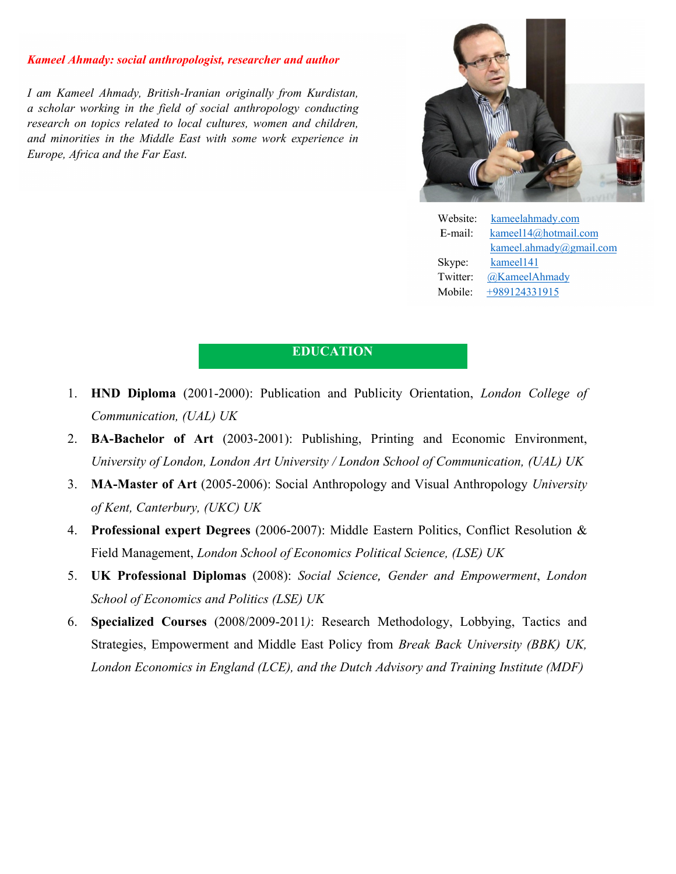#### *Kameel Ahmady Ahmady: social anthropologist, researcher and author*

I am Kameel Ahmady, British-Iranian originally *a scholar working in the field of social anthropology conducting*<br>*research on topics related to local cultures, women and children,<br>and minorities in the Middle East with some work experience in* research on topics related to local cultures, women and children, *and minorities Europe, Africa and the topics related to lo*<br>es in the Middle E.<br>ca and the Far East. *Iranian originally from Kurdistan,*<br>*of social anthropology conducting*<br>*Calcultures, women and children,*<br>*EDUCATIO*<br>**EDUCATIO**<br>**(2001-2000): Publication and P<br>(***UAL) UK***<br><b>Art** (2003-2001): Publishing,<br>*don, London Art U Economics in the field of social anthropology conducting<br>
<i>Economic prescented to local cultures, women and children,*<br> *Europe, Africa and the Far East.*<br> *Europe, Africa and the Far East.*<br> *Europe, Africa and the Far E with* 



Website: E-mail: Skype: Twitter: Mobile: kameelahmady.com E-mail: kameel14@hotmail.com kameel.ahmady@gmail.com kameel.ahmady@gmail.com kameel141  $@$ KameelAhmady +989124331915

### **EDUCATION**

- 1. **HND Diploma** (2001-2000): Publication and Publicity Orientation, London College of *Communication, (UAL) UK*
- 2. **BA-Bachelor of Art** (2003-2001): Publishing, Printing and Economic Environment, University of London, London Art University / London School of Communication, (UAL) UK
- 3. **MA-Master of Art** (2005-2006): Social Anthropology and Visual Anthropology *University*<br> *of Kent*, *Canterbury*, *(UKC) UK*<br> **4. Professional expert Degrees** (2006-2007): Middle Eastern Politics, Conflict Resolution *of Kent, Canterbury, (UKC) UK*
- 4. Professional expert Degrees (2006-2007): Middle Eastern Politics, Conflict Resolution & Field Management, Management, *London School of Economics Political Science Political Science, (LSE) UK*
- 5. **UK Professional Diplomas** (2008): Social Science, Gender and Empowerment, London *School of Economics and Politics (LSE) UK chool of Economics Politics (LSE) UK*
- 6. Specialized Courses (2008/2009-2011): Research Methodology, Lobbying, Tactics and Strategies, Empowerment and Middle East Policy from Break Back University (BBK) UK, *London Economics in England (LCE), and the Dutch Advisory and Training Institute (MDF)* **EVALUATE ADVIDENTION**<br> **EVALUATE ADVIDENTION**<br> **EVALUATE ADVIDENTION**<br> **EVALUATE ADVIDENTION**<br> **EVALUATE ADVIDENTION**<br> **EDUCATION**<br> **EDUCATION**<br> **EDUCATION**<br> **EDUCATION**<br> **EDUCATION**<br> **EDUCATION**<br> **EDUCATION**<br> **EDUCATION** Skype: <u>kameel141</u><br>
Twitter: <u>@KameelA</u><br>
Mobile:  $\frac{+98912433}{+98912433}$ <br> **CATION**<br>
and Publicity Orientation, *London Co*<br>
lishing, Printing and Economic Envi<br>
the Dutch *School of Communication*, *(L*<br>
the Dutch *Advis*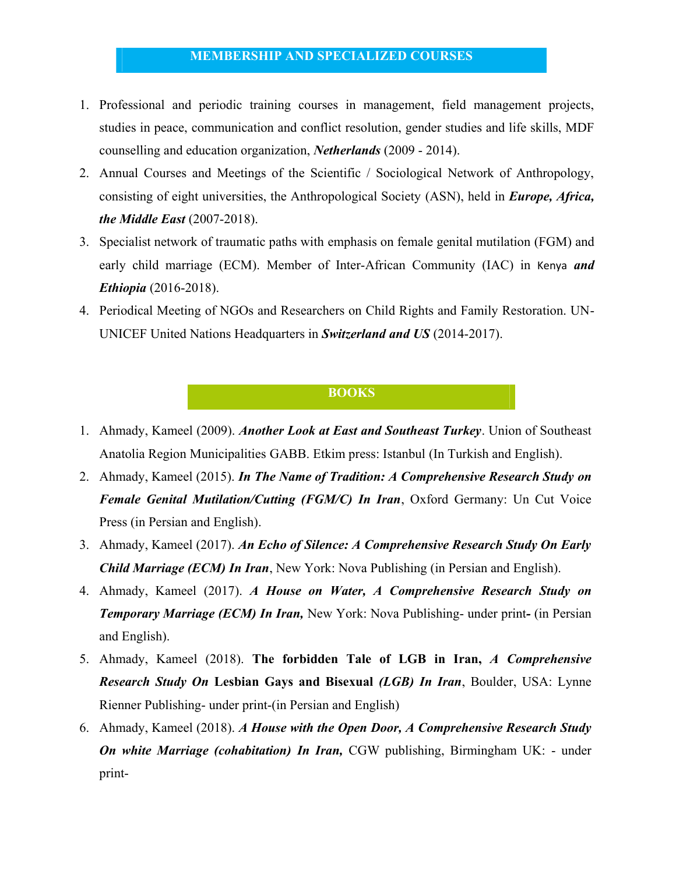#### **MEMBERSHIP AND SPECIALIZED COURSES**

- 1. Professional and periodic training courses in management, field management projects, studies in peace, communication and conflict resolution, gender studies and life skills, MDF counselling and education organization, *Netherlands* (2009 - 2014).
- 2. Annual Courses and Meetings of the Scientific / Sociological Network of Anthropology, consisting of eight universities, the Anthropological Society (ASN), held in *Europe, Africa, the Middle East* (2007-2018).
- 3. Specialist network of traumatic paths with emphasis on female genital mutilation (FGM) and early child marriage (ECM). Member of Inter-African Community (IAC) in Kenya *and Ethiopia* (2016-2018).
- 4. Periodical Meeting of NGOs and Researchers on Child Rights and Family Restoration. UN-UNICEF United Nations Headquarters in *Switzerland and US* (2014-2017).

#### **BOOKS**

- 1. Ahmady, Kameel (2009). *Another Look at East and Southeast Turkey*. Union of Southeast Anatolia Region Municipalities GABB. Etkim press: Istanbul (In Turkish and English).
- 2. Ahmady, Kameel (2015). *In The Name of Tradition: A Comprehensive Research Study on Female Genital Mutilation/Cutting (FGM/C) In Iran*, Oxford Germany: Un Cut Voice Press (in Persian and English).
- 3. Ahmady, Kameel (2017). *An Echo of Silence: A Comprehensive Research Study On Early Child Marriage (ECM) In Iran*, New York: Nova Publishing (in Persian and English).
- 4. Ahmady, Kameel (2017). *A House on Water, A Comprehensive Research Study on Temporary Marriage (ECM) In Iran,* New York: Nova Publishing- under print*-* (in Persian and English).
- 5. Ahmady, Kameel (2018). **The forbidden Tale of LGB in Iran,** *A Comprehensive Research Study On* **Lesbian Gays and Bisexual** *(LGB) In Iran*, Boulder, USA: Lynne Rienner Publishing- under print-(in Persian and English)
- 6. Ahmady, Kameel (2018). *A House with the Open Door, A Comprehensive Research Study On white Marriage (cohabitation) In Iran,* CGW publishing, Birmingham UK: - under print-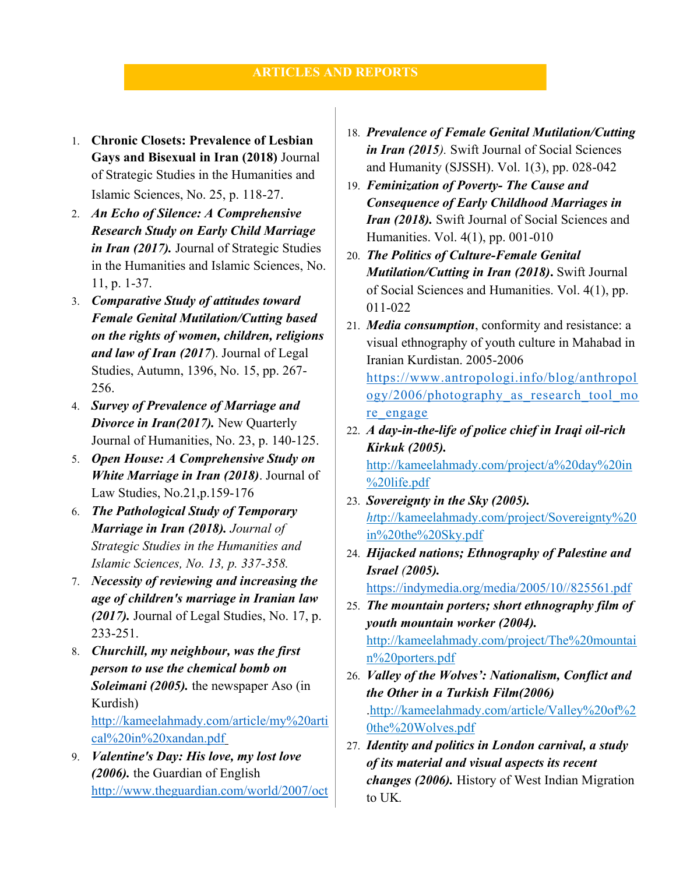- 1. **Chronic Closets: Prevalence of Lesbian Gays and Bisexual in Iran (2018)** Journal of Strategic Studies in the Humanities and Islamic Sciences, No. 25, p. 118-27.
- 2. *An Echo of Silence: A Comprehensive Research Study on Early Child Marriage in Iran (2017).* Journal of Strategic Studies in the Humanities and Islamic Sciences, No. 11, p. 1-37.
- 3. *Comparative Study of attitudes toward Female Genital Mutilation/Cutting based on the rights of women, children, religions and law of Iran (2017*). Journal of Legal Studies, Autumn, 1396, No. 15, pp. 267- 256.
- 4. *Survey of Prevalence of Marriage and Divorce in Iran(2017).* New Quarterly Journal of Humanities, No. 23, p. 140-125.
- 5. *Open House: A Comprehensive Study on White Marriage in Iran (2018)*. Journal of Law Studies, No.21,p.159-176
- 6. *The Pathological Study of Temporary Marriage in Iran (2018). Journal of Strategic Studies in the Humanities and Islamic Sciences, No. 13, p. 337-358.*
- 7. *Necessity of reviewing and increasing the age of children's marriage in Iranian law (2017).* Journal of Legal Studies, No. 17, p. 233-251.
- 8. *Churchill, my neighbour, was the first person to use the chemical bomb on Soleimani (2005).* the newspaper Aso (in Kurdish) http://kameelahmady.com/article/my%20arti cal%20in%20xandan.pdf
- 9. *Valentine's Day: His love, my lost love (2006).* the Guardian of English http://www.theguardian.com/world/2007/oct
- 18. *Prevalence of Female Genital Mutilation/Cutting in Iran (2015).* Swift Journal of Social Sciences and Humanity (SJSSH). Vol. 1(3), pp. 028-042
- 19. *Feminization of Poverty- The Cause and Consequence of Early Childhood Marriages in Iran (2018).* Swift Journal of Social Sciences and Humanities. Vol. 4(1), pp. 001-010
- 20. *The Politics of Culture-Female Genital Mutilation/Cutting in Iran (2018)***.** Swift Journal of Social Sciences and Humanities. Vol. 4(1), pp. 011-022
- 21. *Media consumption*, conformity and resistance: a visual ethnography of youth culture in Mahabad in Iranian Kurdistan. 2005-2006 https://www.antropologi.info/blog/anthropol ogy/2006/photography as research tool mo re engage
- 22. *A day-in-the-life of police chief in Iraqi oil-rich Kirkuk (2005).* http://kameelahmady.com/project/a%20day%20in %20life.pdf
- 23. *Sovereignty in the Sky (2005). ht*tp://kameelahmady.com/project/Sovereignty%20 in%20the%20Sky.pdf
- 24. *Hijacked nations; Ethnography of Palestine and Israel (2005).* https://indymedia.org/media/2005/10//825561.pdf

25. *The mountain porters; short ethnography film of youth mountain worker (2004).* http://kameelahmady.com/project/The%20mountai n%20porters*.*pdf

- 26. *Valley of the Wolves': Nationalism, Conflict and the Other in a Turkish Film(2006)* .http://kameelahmady.com/article/Valley%20of%2 0the%20Wolves.pdf
- 27. *Identity and politics in London carnival, a study of its material and visual aspects its recent changes (2006).* History of West Indian Migration to UK*.*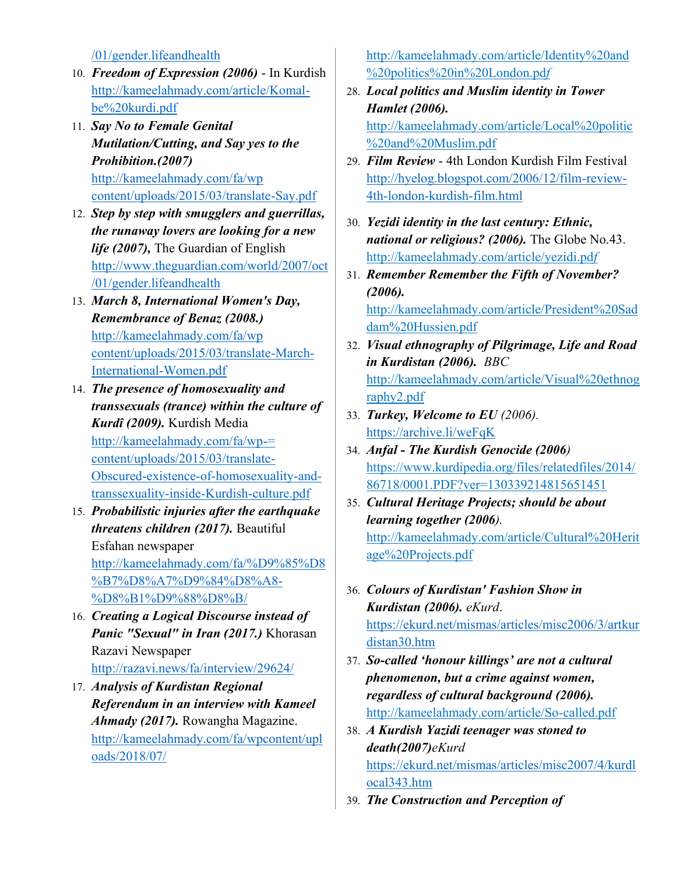/01/gender.lifeandhealth

- 10. *Freedom of Expression (2006)* In Kurdish http://kameelahmady.com/article/Komalbe%20kurdi.pdf
- 11. *Say No to Female Genital Mutilation/Cutting, and Say yes to the Prohibition.(2007)* http://kameelahmady.com/fa/wp content/uploads/2015/03/translate-Say.pdf
- 12. *Step by step with smugglers and guerrillas, the runaway lovers are looking for a new life (2007),* The Guardian of English http://www.theguardian.com/world/2007/oct /01/gender.lifeandhealth
- 13. *March 8, International Women's Day, Remembrance of Benaz (2008.)* http://kameelahmady.com/fa/wp content/uploads/2015/03/translate-March-International-Women.pdf
- 14. *The presence of homosexuality and transsexuals (trance) within the culture of Kurdî (2009).* Kurdish Media http://kameelahmady.com/fa/wp-= content/uploads/2015/03/translate-Obscured-existence-of-homosexuality-andtranssexuality-inside-Kurdish-culture.pdf
- 15. *Probabilistic injuries after the earthquake threatens children (2017).* Beautiful Esfahan newspaper http://kameelahmady.com/fa/%D9%85%D8 %B7%D8%A7%D9%84%D8%A8- %D8%B1%D9%88%D8%B/
- 16. *Creating a Logical Discourse instead of Panic "Sexual" in Iran (2017.)* Khorasan Razavi Newspaper http://razavi.news/fa/interview/29624/
- 17. *Analysis of Kurdistan Regional Referendum in an interview with Kameel Ahmady (2017).* Rowangha Magazine. http://kameelahmady.com/fa/wpcontent/upl oads/2018/07/

http://kameelahmady.com/article/Identity%20and %20politics%20in%20London.pd*f*

28. *Local politics and Muslim identity in Tower Hamlet (2006).* 

http://kameelahmady.com/article/Local%20politic %20and%20Muslim.pdf

- 29. *Film Review* 4th London Kurdish Film Festival http://hyelog.blogspot.com/2006/12/film-review-4th-london-kurdish-film.html
- 30. *Yezidi identity in the last century: Ethnic, national or religious? (2006).* The Globe No.43. http://kameelahmady.com/article/yezidi.pd*f*
- 31. *Remember Remember the Fifth of November? (2006).* http://kameelahmady.com/article/President%20Sad dam%20Hussien.pdf
- 32. *Visual ethnography of Pilgrimage, Life and Road in Kurdistan (2006). BBC* http://kameelahmady.com/article/Visual%20ethnog raphy2.pdf
- 33. *Turkey, Welcome to EU (2006).* https://archive.li/weFqK
- 34. *Anfal - The Kurdish Genocide (2006)* https://www.kurdipedia.org/files/relatedfiles/2014/ 86718/0001.PDF?ver=130339214815651451
- 35. *Cultural Heritage Projects; should be about learning together (2006).* http://kameelahmady.com/article/Cultural%20Herit age%20Projects.pdf
- 36. *Colours of Kurdistan' Fashion Show in Kurdistan (2006). eKurd*. https://ekurd.net/mismas/articles/misc2006/3/artkur distan30.htm
- 37. *So-called 'honour killings' are not a cultural phenomenon, but a crime against women, regardless of cultural background (2006).* http://kameelahmady.com/article/So-called.pdf
- 38. *A Kurdish Yazidi teenager was stoned to death(2007)eKurd* https://ekurd.net/mismas/articles/misc2007/4/kurdl ocal343.htm
- 39. *The Construction and Perception of*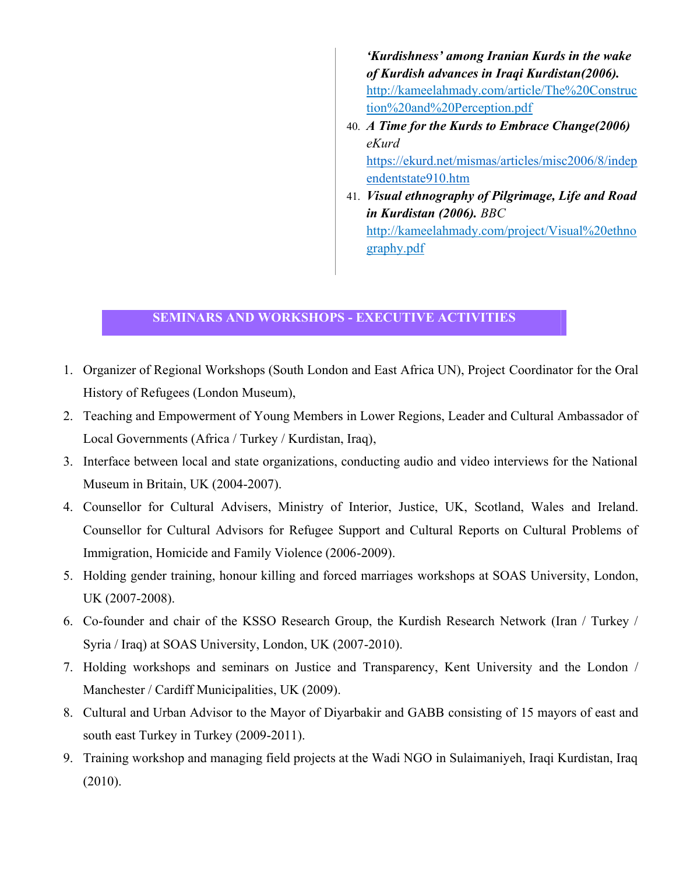*'Kurdishness' among Iranian Kurds in the wake of Kurdish advances in Iraqi Kurdistan(2006).* http://kameelahmady.com/article/The%20Construc tion%20and%20Perception.pdf

- 40. *A Time for the Kurds to Embrace Change(2006) eKurd*  https://ekurd.net/mismas/articles/misc2006/8/indep endentstate910.htm
- 41. *Visual ethnography of Pilgrimage, Life and Road in Kurdistan (2006). BBC* http://kameelahmady.com/project/Visual%20ethno graphy.pdf

## **SEMINARS AND WORKSHOPS - EXECUTIVE ACTIVITIES**

- 1. Organizer of Regional Workshops (South London and East Africa UN), Project Coordinator for the Oral History of Refugees (London Museum),
- 2. Teaching and Empowerment of Young Members in Lower Regions, Leader and Cultural Ambassador of Local Governments (Africa / Turkey / Kurdistan, Iraq),
- 3. Interface between local and state organizations, conducting audio and video interviews for the National Museum in Britain, UK (2004-2007).
- 4. Counsellor for Cultural Advisers, Ministry of Interior, Justice, UK, Scotland, Wales and Ireland. Counsellor for Cultural Advisors for Refugee Support and Cultural Reports on Cultural Problems of Immigration, Homicide and Family Violence (2006-2009).
- 5. Holding gender training, honour killing and forced marriages workshops at SOAS University, London, UK (2007-2008).
- 6. Co-founder and chair of the KSSO Research Group, the Kurdish Research Network (Iran / Turkey / Syria / Iraq) at SOAS University, London, UK (2007-2010).
- 7. Holding workshops and seminars on Justice and Transparency, Kent University and the London / Manchester / Cardiff Municipalities, UK (2009).
- 8. Cultural and Urban Advisor to the Mayor of Diyarbakir and GABB consisting of 15 mayors of east and south east Turkey in Turkey (2009-2011).
- 9. Training workshop and managing field projects at the Wadi NGO in Sulaimaniyeh, Iraqi Kurdistan, Iraq (2010).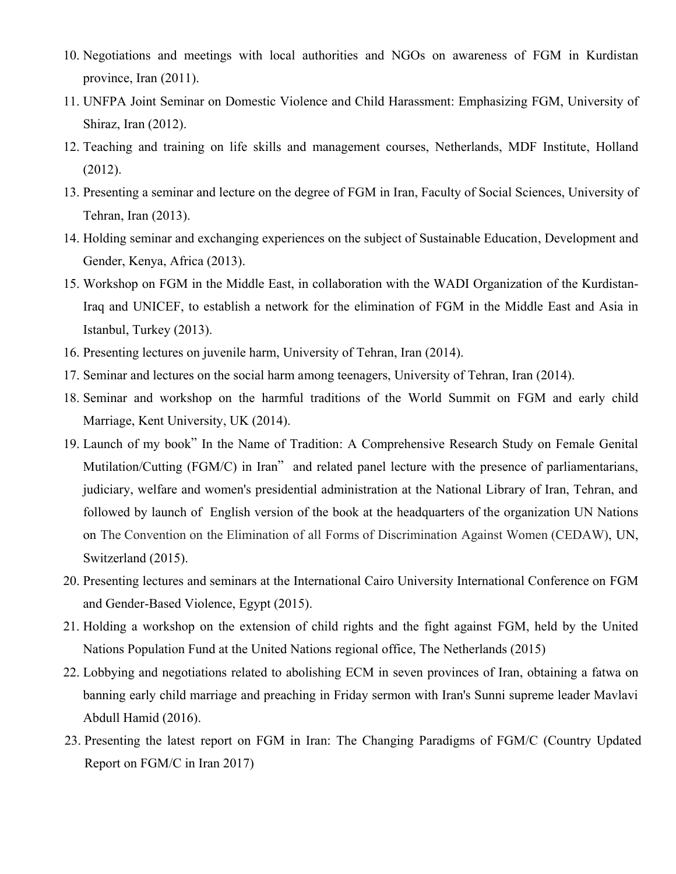- 10. Negotiations and meetings with local authorities and NGOs on awareness of FGM in Kurdistan province, Iran (2011).
- 11. UNFPA Joint Seminar on Domestic Violence and Child Harassment: Emphasizing FGM, University of Shiraz, Iran (2012).
- 12. Teaching and training on life skills and management courses, Netherlands, MDF Institute, Holland (2012).
- 13. Presenting a seminar and lecture on the degree of FGM in Iran, Faculty of Social Sciences, University of Tehran, Iran (2013).
- 14. Holding seminar and exchanging experiences on the subject of Sustainable Education, Development and Gender, Kenya, Africa (2013).
- 15. Workshop on FGM in the Middle East, in collaboration with the WADI Organization of the Kurdistan-Iraq and UNICEF, to establish a network for the elimination of FGM in the Middle East and Asia in Istanbul, Turkey (2013).
- 16. Presenting lectures on juvenile harm, University of Tehran, Iran (2014).
- 17. Seminar and lectures on the social harm among teenagers, University of Tehran, Iran (2014).
- 18. Seminar and workshop on the harmful traditions of the World Summit on FGM and early child Marriage, Kent University, UK (2014).
- 19. Launch of my book" In the Name of Tradition: A Comprehensive Research Study on Female Genital Mutilation/Cutting (FGM/C) in Iran" and related panel lecture with the presence of parliamentarians, judiciary, welfare and women's presidential administration at the National Library of Iran, Tehran, and followed by launch of English version of the book at the headquarters of the organization UN Nations on The Convention on the Elimination of all Forms of Discrimination Against Women (CEDAW), UN, Switzerland (2015).
- 20. Presenting lectures and seminars at the International Cairo University International Conference on FGM and Gender-Based Violence, Egypt (2015).
- 21. Holding a workshop on the extension of child rights and the fight against FGM, held by the United Nations Population Fund at the United Nations regional office, The Netherlands (2015)
- 22. Lobbying and negotiations related to abolishing ECM in seven provinces of Iran, obtaining a fatwa on banning early child marriage and preaching in Friday sermon with Iran's Sunni supreme leader Mavlavi Abdull Hamid (2016).
- 23. Presenting the latest report on FGM in Iran: The Changing Paradigms of FGM/C (Country Updated Report on FGM/C in Iran 2017)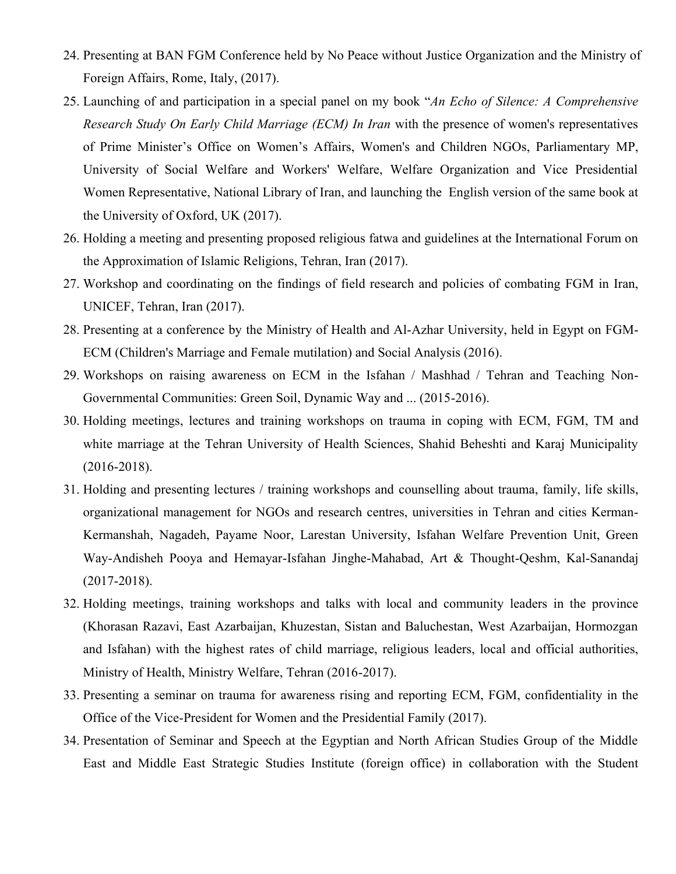- 24. Presenting at BAN FGM Conference held by No Peace without Justice Organization and the Ministry of Foreign Affairs, Rome, Italy, (2017).
- 25. Launching of and participation in a special panel on my book "*An Echo of Silence: A Comprehensive Research Study On Early Child Marriage (ECM) In Iran* with the presence of women's representatives of Prime Minister's Office on Women's Affairs, Women's and Children NGOs, Parliamentary MP, University of Social Welfare and Workers' Welfare, Welfare Organization and Vice Presidential Women Representative, National Library of Iran, and launching the English version of the same book at the University of Oxford, UK (2017).
- 26. Holding a meeting and presenting proposed religious fatwa and guidelines at the International Forum on the Approximation of Islamic Religions, Tehran, Iran (2017).
- 27. Workshop and coordinating on the findings of field research and policies of combating FGM in Iran, UNICEF, Tehran, Iran (2017).
- 28. Presenting at a conference by the Ministry of Health and Al-Azhar University, held in Egypt on FGM-ECM (Children's Marriage and Female mutilation) and Social Analysis (2016).
- 29. Workshops on raising awareness on ECM in the Isfahan / Mashhad / Tehran and Teaching Non-Governmental Communities: Green Soil, Dynamic Way and ... (2015-2016).
- 30. Holding meetings, lectures and training workshops on trauma in coping with ECM, FGM, TM and white marriage at the Tehran University of Health Sciences, Shahid Beheshti and Karaj Municipality (2016-2018).
- 31. Holding and presenting lectures / training workshops and counselling about trauma, family, life skills, organizational management for NGOs and research centres, universities in Tehran and cities Kerman-Kermanshah, Nagadeh, Payame Noor, Larestan University, Isfahan Welfare Prevention Unit, Green Way-Andisheh Pooya and Hemayar-Isfahan Jinghe-Mahabad, Art & Thought-Qeshm, Kal-Sanandaj (2017-2018).
- 32. Holding meetings, training workshops and talks with local and community leaders in the province (Khorasan Razavi, East Azarbaijan, Khuzestan, Sistan and Baluchestan, West Azarbaijan, Hormozgan and Isfahan) with the highest rates of child marriage, religious leaders, local and official authorities, Ministry of Health, Ministry Welfare, Tehran (2016-2017).
- 33. Presenting a seminar on trauma for awareness rising and reporting ECM, FGM, confidentiality in the Office of the Vice-President for Women and the Presidential Family (2017).
- 34. Presentation of Seminar and Speech at the Egyptian and North African Studies Group of the Middle East and Middle East Strategic Studies Institute (foreign office) in collaboration with the Student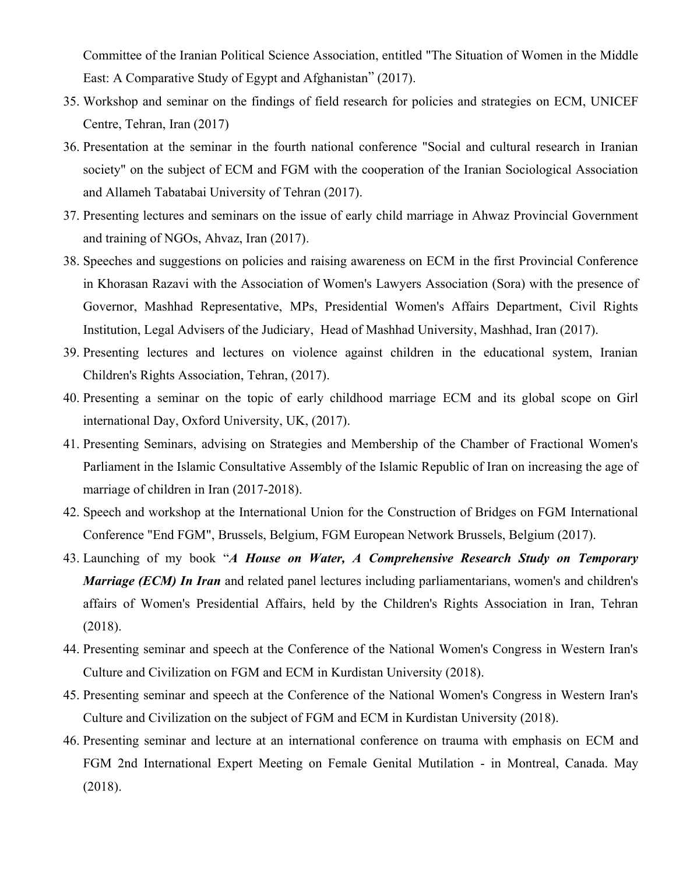Committee of the Iranian Political Science Association, entitled "The Situation of Women in the Middle East: A Comparative Study of Egypt and Afghanistan" (2017).

- 35. Workshop and seminar on the findings of field research for policies and strategies on ECM, UNICEF Centre, Tehran, Iran (2017)
- 36. Presentation at the seminar in the fourth national conference "Social and cultural research in Iranian society" on the subject of ECM and FGM with the cooperation of the Iranian Sociological Association and Allameh Tabatabai University of Tehran (2017).
- 37. Presenting lectures and seminars on the issue of early child marriage in Ahwaz Provincial Government and training of NGOs, Ahvaz, Iran (2017).
- 38. Speeches and suggestions on policies and raising awareness on ECM in the first Provincial Conference in Khorasan Razavi with the Association of Women's Lawyers Association (Sora) with the presence of Governor, Mashhad Representative, MPs, Presidential Women's Affairs Department, Civil Rights Institution, Legal Advisers of the Judiciary, Head of Mashhad University, Mashhad, Iran (2017).
- 39. Presenting lectures and lectures on violence against children in the educational system, Iranian Children's Rights Association, Tehran, (2017).
- 40. Presenting a seminar on the topic of early childhood marriage ECM and its global scope on Girl international Day, Oxford University, UK, (2017).
- 41. Presenting Seminars, advising on Strategies and Membership of the Chamber of Fractional Women's Parliament in the Islamic Consultative Assembly of the Islamic Republic of Iran on increasing the age of marriage of children in Iran (2017-2018).
- 42. Speech and workshop at the International Union for the Construction of Bridges on FGM International Conference "End FGM", Brussels, Belgium, FGM European Network Brussels, Belgium (2017).
- 43. Launching of my book "*A House on Water, A Comprehensive Research Study on Temporary Marriage (ECM) In Iran* and related panel lectures including parliamentarians, women's and children's affairs of Women's Presidential Affairs, held by the Children's Rights Association in Iran, Tehran (2018).
- 44. Presenting seminar and speech at the Conference of the National Women's Congress in Western Iran's Culture and Civilization on FGM and ECM in Kurdistan University (2018).
- 45. Presenting seminar and speech at the Conference of the National Women's Congress in Western Iran's Culture and Civilization on the subject of FGM and ECM in Kurdistan University (2018).
- 46. Presenting seminar and lecture at an international conference on trauma with emphasis on ECM and FGM 2nd International Expert Meeting on Female Genital Mutilation - in Montreal, Canada. May (2018).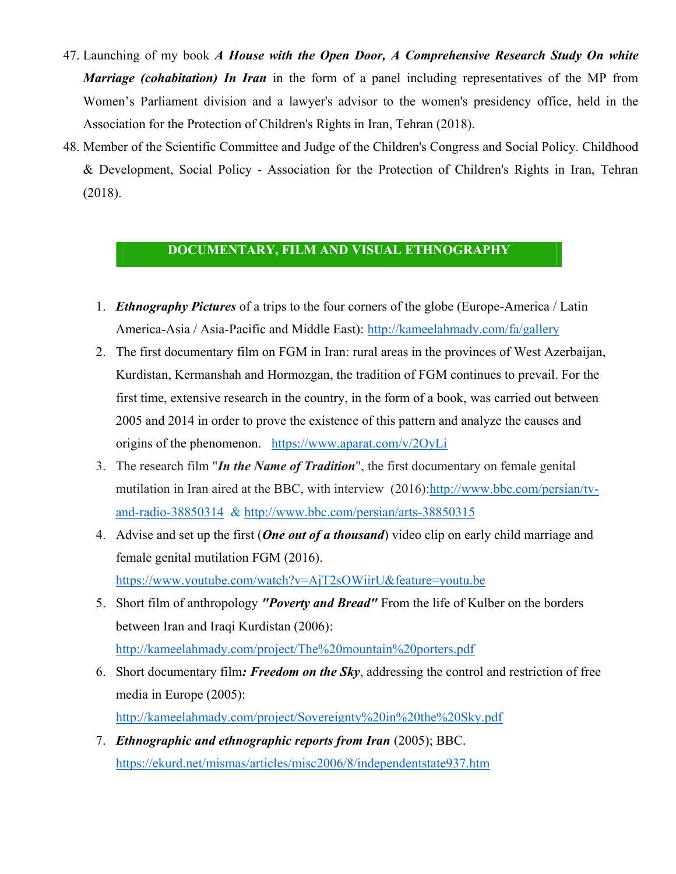- 47. Launching of my book *A House with the Open Door, A Comprehensive Research Study On white Marriage (cohabitation) In Iran* in the form of a panel including representatives of the MP from Women's Parliament division and a lawyer's advisor to the women's presidency office, held in the Association for the Protection of Children's Rights in Iran, Tehran (2018).
- 48. Member of the Scientific Committee and Judge of the Children's Congress and Social Policy. Childhood & Development, Social Policy - Association for the Protection of Children's Rights in Iran, Tehran (2018).

# **DOCUMENTARY, FILM AND VISUAL ETHNOGRAPHY**

- 1. *Ethnography Pictures* of a trips to the four corners of the globe (Europe-America / Latin America-Asia / Asia-Pacific and Middle East): http://kameelahmady.com/fa/gallery
- 2. The first documentary film on FGM in Iran: rural areas in the provinces of West Azerbaijan, Kurdistan, Kermanshah and Hormozgan, the tradition of FGM continues to prevail. For the first time, extensive research in the country, in the form of a book, was carried out between 2005 and 2014 in order to prove the existence of this pattern and analyze the causes and origins of the phenomenon. https://www.aparat.com/v/2OyLi
- 3. The research film "*In the Name of Tradition*", the first documentary on female genital mutilation in Iran aired at the BBC, with interview (2016):http://www.bbc.com/persian/tvand-radio-38850314 & http://www.bbc.com/persian/arts-38850315
- 4. Advise and set up the first (*One out of a thousand*) video clip on early child marriage and female genital mutilation FGM (2016). https://www.youtube.com/watch?v=AjT2sOWiirU&feature=youtu.be
- 5. Short film of anthropology *"Poverty and Bread"* From the life of Kulber on the borders between Iran and Iraqi Kurdistan (2006): http://kameelahmady.com/project/The%20mountain%20porters.pdf
- 6. Short documentary film*: Freedom on the Sky*, addressing the control and restriction of free media in Europe (2005): http://kameelahmady.com/project/Sovereignty%20in%20the%20Sky.pdf
- 7. *Ethnographic and ethnographic reports from Iran* (2005); BBC. https://ekurd.net/mismas/articles/misc2006/8/independentstate937.htm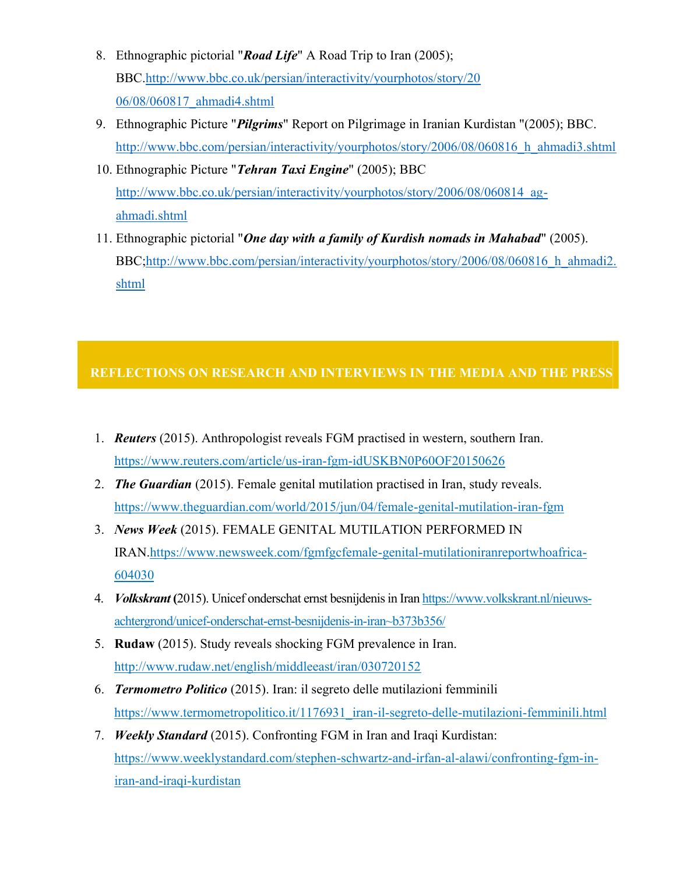- 8. Ethnographic pictorial "*Road Life*" A Road Trip to Iran (2005); BBC.http://www.bbc.co.uk/persian/interactivity/yourphotos/story/20 06/08/060817\_ahmadi4.shtml
- 9. Ethnographic Picture "*Pilgrims*" Report on Pilgrimage in Iranian Kurdistan "(2005); BBC. http://www.bbc.com/persian/interactivity/yourphotos/story/2006/08/060816\_h\_ahmadi3.shtml
- 10. Ethnographic Picture "*Tehran Taxi Engine*" (2005); BBC http://www.bbc.co.uk/persian/interactivity/yourphotos/story/2006/08/060814\_agahmadi.shtml
- 11. Ethnographic pictorial "*One day with a family of Kurdish nomads in Mahabad*" (2005). BBC;http://www.bbc.com/persian/interactivity/yourphotos/story/2006/08/060816\_h\_ahmadi2. shtml

# **REFLECTIONS ON RESEARCH AND INTERVIEWS IN THE MEDIA AND THE PRESS**

- 1. *Reuters* (2015). Anthropologist reveals FGM practised in western, southern Iran. https://www.reuters.com/article/us-iran-fgm-idUSKBN0P60OF20150626
- 2. *The Guardian* (2015). Female genital mutilation practised in Iran, study reveals. https://www.theguardian.com/world/2015/jun/04/female-genital-mutilation-iran-fgm
- 3. *News Week* (2015). FEMALE GENITAL MUTILATION PERFORMED IN IRAN.https://www.newsweek.com/fgmfgcfemale-genital-mutilationiranreportwhoafrica-604030
- 4. *Volkskrant* **(**2015). Unicef onderschat ernst besnijdenis in Iran https://www.volkskrant.nl/nieuwsachtergrond/unicef-onderschat-ernst-besnijdenis-in-iran~b373b356/
- 5. **Rudaw** (2015). Study reveals shocking FGM prevalence in Iran. http://www.rudaw.net/english/middleeast/iran/030720152
- 6. *Termometro Politico* (2015). Iran: il segreto delle mutilazioni femminili https://www.termometropolitico.it/1176931\_iran-il-segreto-delle-mutilazioni-femminili.html
- 7. *Weekly Standard* (2015). Confronting FGM in Iran and Iraqi Kurdistan: https://www.weeklystandard.com/stephen-schwartz-and-irfan-al-alawi/confronting-fgm-iniran-and-iraqi-kurdistan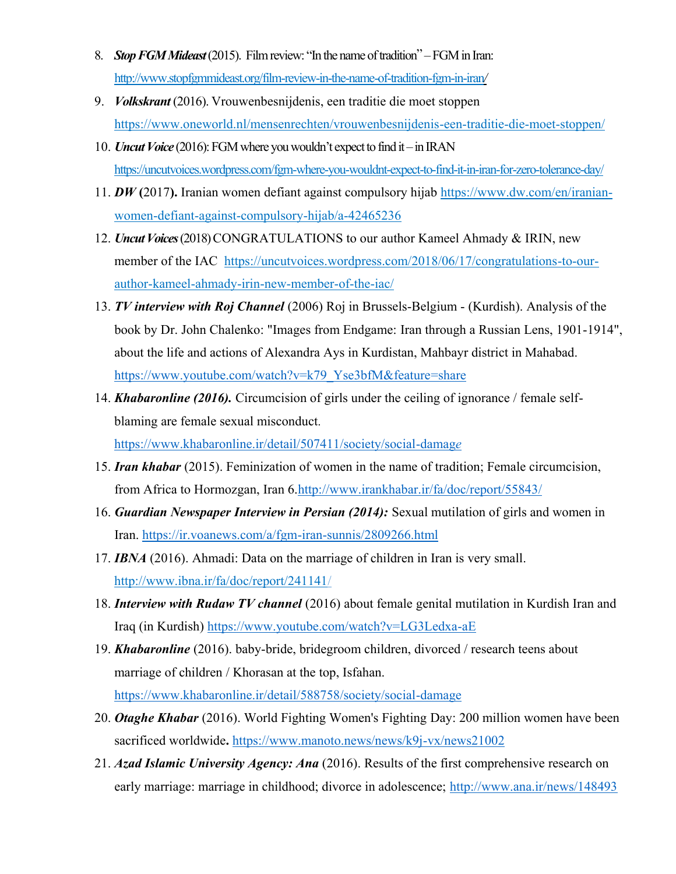- 8. *Stop FGM Mideast*(2015). Film review: "In the name of tradition" –FGM in Iran: http://www.stopfgmmideast.org/film-review-in-the-name-of-tradition-fgm-in-iran*/*
- 9. *Volkskrant* (2016). Vrouwenbesnijdenis, een traditie die moet stoppen https://www.oneworld.nl/mensenrechten/vrouwenbesnijdenis-een-traditie-die-moet-stoppen/
- 10. *Uncut Voice* (2016): FGM where you wouldn't expect to find it –in IRAN https://uncutvoices.wordpress.com/fgm-where-you-wouldnt-expect-to-find-it-in-iran-for-zero-tolerance-day/
- 11. *DW* **(**2017**).** Iranian women defiant against compulsory hijab https://www.dw.com/en/iranianwomen-defiant-against-compulsory-hijab/a-42465236
- 12. *Uncut Voices*(2018) CONGRATULATIONS to our author Kameel Ahmady & IRIN, new member of the IAC https://uncutvoices.wordpress.com/2018/06/17/congratulations-to-ourauthor-kameel-ahmady-irin-new-member-of-the-iac/
- 13. *TV interview with Roj Channel* (2006) Roj in Brussels-Belgium (Kurdish). Analysis of the book by Dr. John Chalenko: "Images from Endgame: Iran through a Russian Lens, 1901-1914", about the life and actions of Alexandra Ays in Kurdistan, Mahbayr district in Mahabad. https://www.youtube.com/watch?v=k79\_Yse3bfM&feature=share
- 14. *Khabaronline (2016).* Circumcision of girls under the ceiling of ignorance / female selfblaming are female sexual misconduct*.* https://www.khabaronline.ir/detail/507411/society/social-damag*e*
- 15. *Iran khabar* (2015). Feminization of women in the name of tradition; Female circumcision, from Africa to Hormozgan, Iran 6.http://www.irankhabar.ir/fa/doc/report/55843/
- 16. *Guardian Newspaper Interview in Persian (2014):* Sexual mutilation of girls and women in Iran. https://ir.voanews.com/a/fgm-iran-sunnis/2809266.html
- 17. *IBNA* (2016). Ahmadi: Data on the marriage of children in Iran is very small. http://www.ibna.ir/fa/doc/report/241141/
- 18. *Interview with Rudaw TV channel* (2016) about female genital mutilation in Kurdish Iran and Iraq (in Kurdish) https://www.youtube.com/watch?v=LG3Ledxa-aE
- 19. *Khabaronline* (2016). baby-bride, bridegroom children, divorced / research teens about marriage of children / Khorasan at the top, Isfahan. https://www.khabaronline.ir/detail/588758/society/social-damage
- 20. *Otaghe Khabar* (2016). World Fighting Women's Fighting Day: 200 million women have been sacrificed worldwide**.** https://www.manoto.news/news/k9j-vx/news21002
- 21. *Azad Islamic University Agency: Ana* (2016). Results of the first comprehensive research on early marriage: marriage in childhood; divorce in adolescence; http://www.ana.ir/news/148493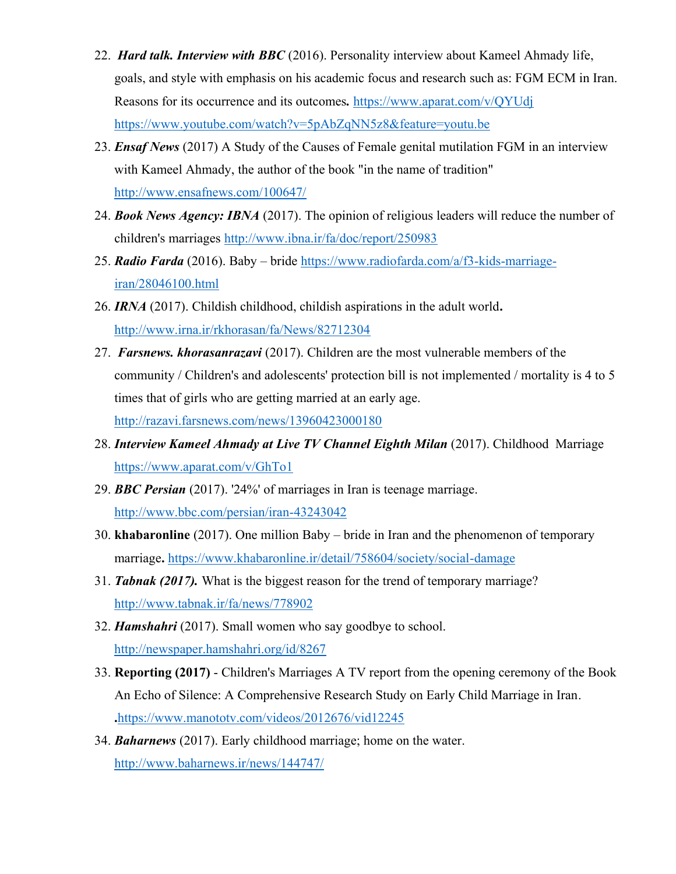- 22. *Hard talk. Interview with BBC* (2016). Personality interview about Kameel Ahmady life, goals, and style with emphasis on his academic focus and research such as: FGM ECM in Iran. Reasons for its occurrence and its outcomes*.* https://www.aparat.com/v/QYUdj https://www.youtube.com/watch?v=5pAbZqNN5z8&feature=youtu.be
- 23. *Ensaf News* (2017) A Study of the Causes of Female genital mutilation FGM in an interview with Kameel Ahmady, the author of the book "in the name of tradition" http://www.ensafnews.com/100647/
- 24. *Book News Agency: IBNA* (2017). The opinion of religious leaders will reduce the number of children's marriages http://www.ibna.ir/fa/doc/report/250983
- 25. *Radio Farda* (2016). Baby bride https://www.radiofarda.com/a/f3-kids-marriageiran/28046100.html
- 26. *IRNA* (2017). Childish childhood, childish aspirations in the adult world**.** http://www.irna.ir/rkhorasan/fa/News/82712304
- 27. *Farsnews. khorasanrazavi* (2017). Children are the most vulnerable members of the community / Children's and adolescents' protection bill is not implemented / mortality is 4 to 5 times that of girls who are getting married at an early age. http://razavi.farsnews.com/news/13960423000180
- 28. *Interview Kameel Ahmady at Live TV Channel Eighth Milan* (2017). Childhood Marriage https://www.aparat.com/v/GhTo1
- 29. *BBC Persian* (2017). '24%' of marriages in Iran is teenage marriage. http://www.bbc.com/persian/iran-43243042
- 30. **khabaronline** (2017). One million Baby bride in Iran and the phenomenon of temporary marriage**.** https://www.khabaronline.ir/detail/758604/society/social-damage
- 31. *Tabnak (2017).* What is the biggest reason for the trend of temporary marriage? http://www.tabnak.ir/fa/news/778902
- 32. *Hamshahri* (2017). Small women who say goodbye to school. http://newspaper.hamshahri.org/id/8267
- 33. **Reporting (2017)**  Children's Marriages A TV report from the opening ceremony of the Book An Echo of Silence: A Comprehensive Research Study on Early Child Marriage in Iran. **.**https://www.manototv.com/videos/2012676/vid12245
- 34. *Baharnews* (2017). Early childhood marriage; home on the water. http://www.baharnews.ir/news/144747/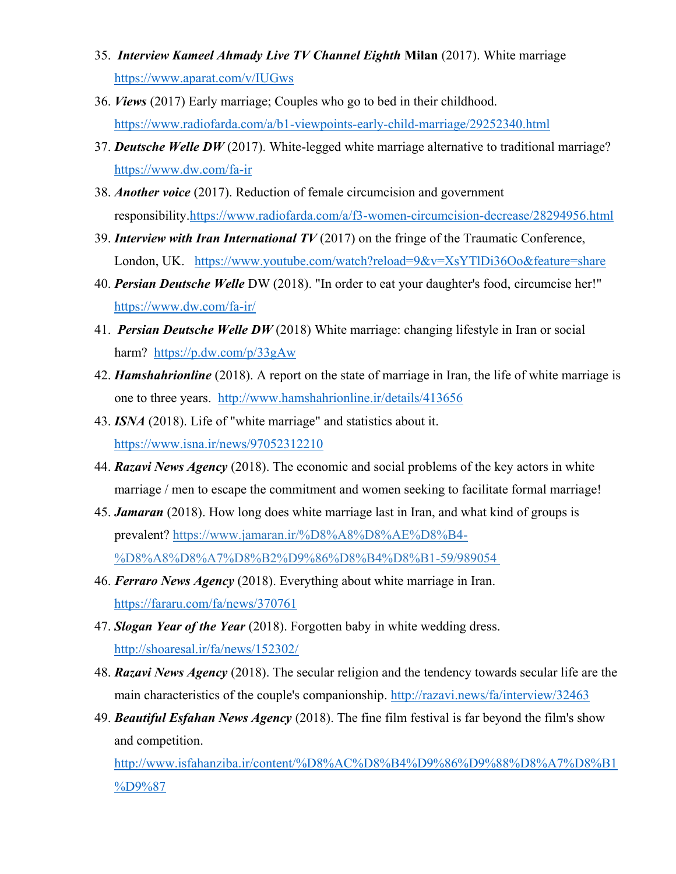- 35. *Interview Kameel Ahmady Live TV Channel Eighth* **Milan** (2017). White marriage https://www.aparat.com/v/IUGws
- 36. *Views* (2017) Early marriage; Couples who go to bed in their childhood. https://www.radiofarda.com/a/b1-viewpoints-early-child-marriage/29252340.html
- 37. *Deutsche Welle DW* (2017). White-legged white marriage alternative to traditional marriage? https://www.dw.com/fa-ir
- 38. *Another voice* (2017). Reduction of female circumcision and government responsibility.https://www.radiofarda.com/a/f3-women-circumcision-decrease/28294956.html
- 39. *Interview with Iran International TV* (2017) on the fringe of the Traumatic Conference, London, UK. https://www.youtube.com/watch?reload=9&v=XsYTlDi36Oo&feature=share
- 40. *Persian Deutsche Welle* DW (2018). "In order to eat your daughter's food, circumcise her!" https://www.dw.com/fa-ir/
- 41. *Persian Deutsche Welle DW* (2018) White marriage: changing lifestyle in Iran or social harm? https://p.dw.com/p/33gAw
- 42. *Hamshahrionline* (2018). A report on the state of marriage in Iran, the life of white marriage is one to three years. http://www.hamshahrionline.ir/details/413656
- 43. *ISNA* (2018). Life of "white marriage" and statistics about it. https://www.isna.ir/news/97052312210
- 44. *Razavi News Agency* (2018). The economic and social problems of the key actors in white marriage / men to escape the commitment and women seeking to facilitate formal marriage!
- 45. *Jamaran* (2018). How long does white marriage last in Iran, and what kind of groups is prevalent? https://www.jamaran.ir/%D8%A8%D8%AE%D8%B4- %D8%A8%D8%A7%D8%B2%D9%86%D8%B4%D8%B1-59/989054
- 46. *Ferraro News Agency* (2018). Everything about white marriage in Iran. https://fararu.com/fa/news/370761
- 47. *Slogan Year of the Year* (2018). Forgotten baby in white wedding dress. http://shoaresal.ir/fa/news/152302/
- 48. *Razavi News Agency* (2018). The secular religion and the tendency towards secular life are the main characteristics of the couple's companionship. http://razavi.news/fa/interview/32463
- 49. *Beautiful Esfahan News Agency* (2018). The fine film festival is far beyond the film's show and competition.

http://www.isfahanziba.ir/content/%D8%AC%D8%B4%D9%86%D9%88%D8%A7%D8%B1 %D9%87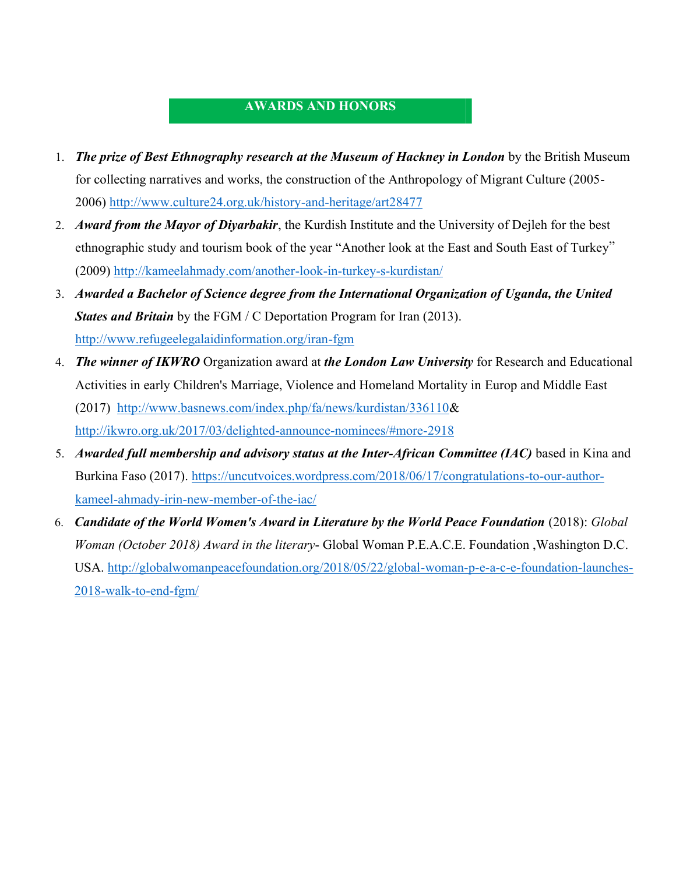# **AWARDS AND HONORS**

- 1. *The prize of Best Ethnography research at the Museum of Hackney in London* by the British Museum for collecting narratives and works, the construction of the Anthropology of Migrant Culture (2005- 2006) http://www.culture24.org.uk/history-and-heritage/art28477
- 2. *Award from the Mayor of Diyarbakir*, the Kurdish Institute and the University of Dejleh for the best ethnographic study and tourism book of the year "Another look at the East and South East of Turkey" (2009) http://kameelahmady.com/another-look-in-turkey-s-kurdistan/
- 3. *Awarded a Bachelor of Science degree from the International Organization of Uganda, the United States and Britain* by the FGM / C Deportation Program for Iran (2013). http://www.refugeelegalaidinformation.org/iran-fgm
- 4. *The winner of IKWRO* Organization award at *the London Law University* for Research and Educational Activities in early Children's Marriage, Violence and Homeland Mortality in Europ and Middle East (2017) http://www.basnews.com/index.php/fa/news/kurdistan/336110& http://ikwro.org.uk/2017/03/delighted-announce-nominees/#more-2918
- 5. *Awarded full membership and advisory status at the Inter-African Committee (IAC)* based in Kina and Burkina Faso (2017). https://uncutvoices.wordpress.com/2018/06/17/congratulations-to-our-authorkameel-ahmady-irin-new-member-of-the-iac/
- 6. *Candidate of the World Women's Award in Literature by the World Peace Foundation* (2018): *Global Woman (October 2018) Award in the literary*- Global Woman P.E.A.C.E. Foundation ,Washington D.C. USA. http://globalwomanpeacefoundation.org/2018/05/22/global-woman-p-e-a-c-e-foundation-launches-2018-walk-to-end-fgm/